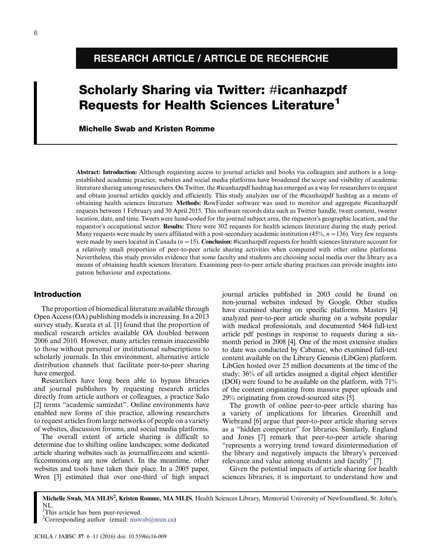# RESEARCH ARTICLE / ARTICLE DE RECHERCHE

# Scholarly Sharing via Twitter: #icanhazpdf Requests for Health Sciences Literature<sup>1</sup>

Michelle Swab and Kristen Romme

Abstract: Introduction: Although requesting access to journal articles and books via colleagues and authors is a longestablished academic practice, websites and social media platforms have broadened the scope and visibility of academic literature sharing among researchers. On Twitter, the #icanhazpdf hashtag has emerged as a way for researchers to request and obtain journal articles quickly and efficiently. This study analyzes use of the #icanhazpdf hashtag as a means of obtaining health sciences literature. Methods: RowFeeder software was used to monitor and aggregate #icanhazpdf requests between 1 February and 30 April 2015. This software records data such as Twitter handle, tweet content, tweeter location, date, and time. Tweets were hand-coded for the journal subject area, the requestor's geographic location, and the requestor's occupational sector. Results: There were 302 requests for health sciences literature during the study period. Many requests were made by users affiliated with a post-secondary academic institution  $(45%, n = 136)$ . Very few requests were made by users located in Canada  $(n = 15)$ . Conclusion: #icanhazpdf requests for health sciences literature account for a relatively small proportion of peer-to-peer article sharing activities when compared with other online platforms. Nevertheless, this study provides evidence that some faculty and students are choosing social media over the library as a means of obtaining health sciences literature. Examining peer-to-peer article sharing practices can provide insights into patron behaviour and expectations.

# Introduction

The proportion of biomedical literature available through Open Access (OA) publishing models is increasing. In a 2013 survey study, Kurata et al. [1] found that the proportion of medical research articles available OA doubled between 2006 and 2010. However, many articles remain inaccessible to those without personal or institutional subscriptions to scholarly journals. In this environment, alternative article distribution channels that facilitate peer-to-peer sharing have emerged.

Researchers have long been able to bypass libraries and journal publishers by requesting research articles directly from article authors or colleagues, a practice Salo [2] terms "academic samizdat". Online environments have enabled new forms of this practice, allowing researchers to request articles from large networks of people on avariety of websites, discussion forums, and social media platforms.

The overall extent of article sharing is difficult to determine due to shifting online landscapes; some dedicated article sharing websites such as journalfire.com and scientificcommons.org are now defunct. In the meantime, other websites and tools have taken their place. In a 2005 paper, Wren [3] estimated that over one-third of high impact journal articles published in 2003 could be found on non-journal websites indexed by Google. Other studies have examined sharing on specific platforms. Masters [4] analyzed peer-to-peer article sharing on a website popular with medical professionals, and documented 5464 full-text article pdf postings in response to requests during a sixmonth period in 2008 [4]. One of the most extensive studies to date was conducted by Cabanac, who examined full-text content available on the Library Genesis (LibGen) platform. LibGen hosted over 25 million documents at the time of the study; 36% of all articles assigned a digital object identifier (DOI) were found to be available on the platform, with 71% of the content originating from massive paper uploads and 29% originating from crowd-sourced sites [5].

The growth of online peer-to-peer article sharing has a variety of implications for libraries. Greenhill and Wiebrand [6] argue that peer-to-peer article sharing serves as a "hidden competitor" for libraries. Similarly, England and Jones [7] remark that peer-to-peer article sharing "represents a worrying trend toward disintermediation of the library and negatively impacts the library's perceived relevance and value among students and faculty" [7].

Given the potential impacts of article sharing for health sciences libraries, it is important to understand how and

Michelle Swab, MA MLIS<sup>2</sup>, Kristen Romme, MA MLIS, Health Sciences Library, Memorial University of Newfoundland, St. John's, NL.

<sup>2</sup>Corresponding author (email: [mswab@mun.ca\)](mailto: e-mail: mswab@mun.ca)

<sup>&</sup>lt;sup>1</sup>This article has been peer-reviewed.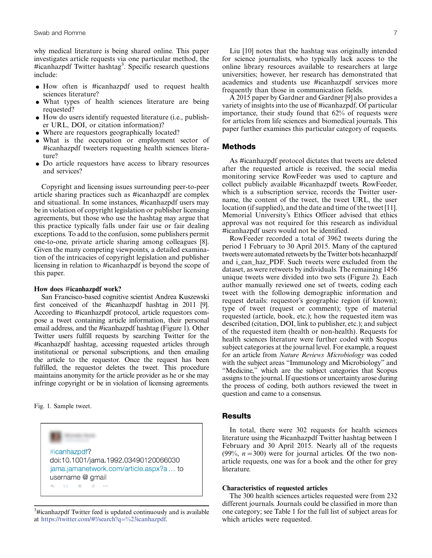why medical literature is being shared online. This paper investigates article requests via one particular method, the #icanhazpdf Twitter hashtag<sup>3</sup>. Specific research questions include:

- How often is #icanhazpdf used to request health sciences literature?
- What types of health sciences literature are being requested?
- How do users identify requested literature (i.e., publisher URL, DOI, or citation information)?
- Where are requestors geographically located?
- What is the occupation or employment sector of #icanhazpdf tweeters requesting health sciences literature?
- Do article requestors have access to library resources and services?

Copyright and licensing issues surrounding peer-to-peer article sharing practices such as #icanhazpdf are complex and situational. In some instances, #icanhazpdf users may be in violation of copyright legislation or publisher licensing agreements, but those who use the hashtag may argue that this practice typically falls under fair use or fair dealing exceptions. To add to the confusion, some publishers permit one-to-one, private article sharing among colleagues [8]. Given the many competing viewpoints, a detailed examination of the intricacies of copyright legislation and publisher licensing in relation to #icanhazpdf is beyond the scope of this paper.

#### How does #icanhazpdf work?

San Francisco-based cognitive scientist Andrea Kuszewski first conceived of the #icanhazpdf hashtag in 2011 [9]. According to #icanhazpdf protocol, article requestors compose a tweet containing article information, their personal email address, and the #icanhazpdf hashtag (Figure 1). Other Twitter users fulfill requests by searching Twitter for the #icanhazpdf hashtag, accessing requested articles through institutional or personal subscriptions, and then emailing the article to the requestor. Once the request has been fulfilled, the requestor deletes the tweet. This procedure maintains anonymity for the article provider as he or she may infringe copyright or be in violation of licensing agreements.

Fig. 1. Sample tweet.



<sup>&</sup>lt;sup>3</sup>#icanhazpdf Twitter feed is updated continuously and is available at [https://twitter.com/#!/search?q](https://twitter.com/#!/search?q=%2523icanhazpdf)[-](https://twitter.com/#!/search?q=%2523icanhazpdf)[%23icanhazpdf.](https://twitter.com/#!/search?q=%2523icanhazpdf)

Liu [10] notes that the hashtag was originally intended for science journalists, who typically lack access to the online library resources available to researchers at large universities; however, her research has demonstrated that academics and students use #icanhazpdf services more frequently than those in communication fields.

A 2015 paper by Gardner and Gardner [9] also provides a variety of insights into the use of #icanhazpdf. Of particular importance, their study found that 62% of requests were for articles from life sciences and biomedical journals. This paper further examines this particular category of requests.

#### Methods

As #icanhazpdf protocol dictates that tweets are deleted after the requested article is received, the social media monitoring service RowFeeder was used to capture and collect publicly available #icanhazpdf tweets. RowFeeder, which is a subscription service, records the Twitter username, the content of the tweet, the tweet URL, the user location (if supplied), and the date and time of the tweet [11]. Memorial University's Ethics Officer advised that ethics approval was not required for this research as individual #icanhazpdf users would not be identified.

RowFeeder recorded a total of 3962 tweets during the period 1 February to 30 April 2015. Many of the captured tweets were automated retweets by the Twitter bots hecanhazpdf and i can haz PDF. Such tweets were excluded from the dataset, as were retweets by individuals. The remaining 1456 unique tweets were divided into two sets (Figure 2). Each author manually reviewed one set of tweets, coding each tweet with the following demographic information and request details: requestor's geographic region (if known); type of tweet (request or comment); type of material requested (article, book, etc.); how the requested item was described (citation, DOI, link to publisher, etc.); and subject of the requested item (health or non-health). Requests for health sciences literature were further coded with Scopus subject categories at the journal level. For example, a request for an article from Nature Reviews Microbiology was coded with the subject areas "Immunology and Microbiology" and "Medicine," which are the subject categories that Scopus assigns to the journal. If questions or uncertainty arose during the process of coding, both authors reviewed the tweet in question and came to a consensus.

#### Results

In total, there were 302 requests for health sciences literature using the #icanhazpdf Twitter hashtag between 1 February and 30 April 2015. Nearly all of the requests  $(99\%, n=300)$  were for journal articles. Of the two nonarticle requests, one was for a book and the other for grey literature.

#### Characteristics of requested articles

The 300 health sciences articles requested were from 232 different journals. Journals could be classified in more than one category; see Table 1 for the full list of subject areas for which articles were requested.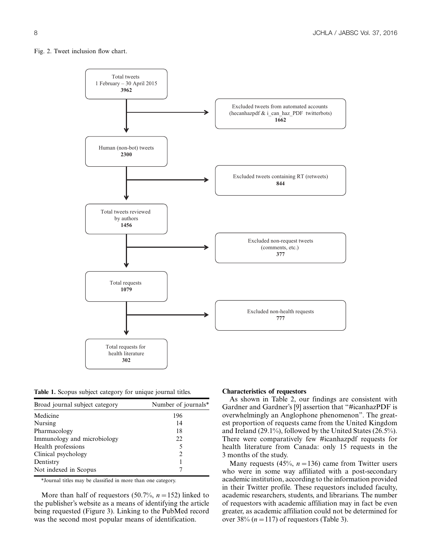#### Fig. 2. Tweet inclusion flow chart.



Table 1. Scopus subject category for unique journal titles.

| Broad journal subject category | Number of journals* |  |
|--------------------------------|---------------------|--|
| Medicine                       | 196                 |  |
| Nursing                        | 14                  |  |
| Pharmacology                   | 18                  |  |
| Immunology and microbiology    | 22                  |  |
| Health professions             | 5                   |  |
| Clinical psychology            | $\overline{2}$      |  |
| Dentistry                      |                     |  |
| Not indexed in Scopus          |                     |  |

\*Journal titles may be classified in more than one category.

More than half of requestors  $(50.7\%, n=152)$  linked to the publisher's website as a means of identifying the article being requested (Figure 3). Linking to the PubMed record was the second most popular means of identification.

#### Characteristics of requestors

As shown in Table 2, our findings are consistent with Gardner and Gardner's [9] assertion that "#icanhazPDF is overwhelmingly an Anglophone phenomenon". The greatest proportion of requests came from the United Kingdom and Ireland (29.1%), followed by the United States (26.5%). There were comparatively few #icanhazpdf requests for health literature from Canada: only 15 requests in the 3 months of the study.

Many requests (45%,  $n = 136$ ) came from Twitter users who were in some way affiliated with a post-secondary academic institution, according to the information provided in their Twitter profile. These requestors included faculty, academic researchers, students, and librarians. The number of requestors with academic affiliation may in fact be even greater, as academic affiliation could not be determined for over 38%  $(n = 117)$  of requestors (Table 3).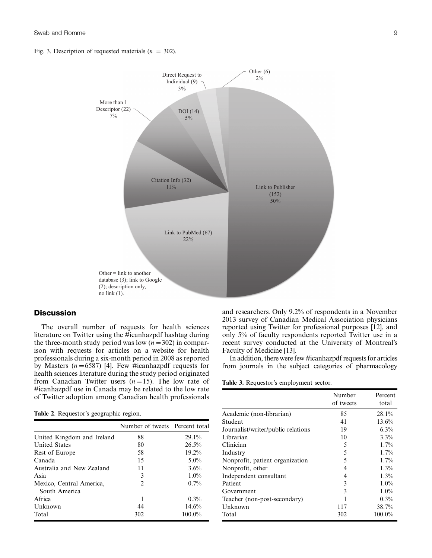#### Fig. 3. Description of requested materials ( $n = 302$ ).



### **Discussion**

The overall number of requests for health sciences literature on Twitter using the #icanhazpdf hashtag during the three-month study period was low  $(n=302)$  in comparison with requests for articles on a website for health professionals during a six-month period in 2008 as reported by Masters  $(n=6587)$  [4]. Few #icanhazpdf requests for health sciences literature during the study period originated from Canadian Twitter users  $(n=15)$ . The low rate of #icanhazpdf use in Canada may be related to the low rate of Twitter adoption among Canadian health professionals

|  | Table 2. Requestor's geographic region. |  |
|--|-----------------------------------------|--|
|  |                                         |  |
|  |                                         |  |

|                            | Number of tweets Percent total |           |
|----------------------------|--------------------------------|-----------|
| United Kingdom and Ireland | 88                             | $29.1\%$  |
| <b>United States</b>       | 80                             | 26.5%     |
| Rest of Europe             | 58                             | 19.2%     |
| Canada                     | 15                             | $5.0\%$   |
| Australia and New Zealand  | 11                             | 3.6%      |
| Asia                       | 3                              | $1.0\%$   |
| Mexico, Central America,   | 2                              | 0.7%      |
| South America              |                                |           |
| Africa                     | 1                              | $0.3\%$   |
| Unknown                    | 44                             | 14.6%     |
| Total                      | 302                            | $100.0\%$ |

and researchers. Only 9.2% of respondents in a November 2013 survey of Canadian Medical Association physicians reported using Twitter for professional purposes [12], and only 5% of faculty respondents reported Twitter use in a recent survey conducted at the University of Montreal's Faculty of Medicine [13].

In addition, there were few #icanhazpdf requests for articles from journals in the subject categories of pharmacology

Table 3. Requestor's employment sector.

|                                    | Number<br>of tweets | Percent<br>total |
|------------------------------------|---------------------|------------------|
| Academic (non-librarian)           | 85                  | 28.1%            |
| Student                            | 41                  | 13.6%            |
| Journalist/writer/public relations | 19                  | 6.3%             |
| Librarian                          | 10                  | 3.3%             |
| Clinician                          | 5                   | $1.7\%$          |
| Industry                           | 5                   | $1.7\%$          |
| Nonprofit, patient organization    | 5                   | $1.7\%$          |
| Nonprofit, other                   | $\overline{4}$      | $1.3\%$          |
| Independent consultant             | 4                   | $1.3\%$          |
| Patient                            | 3                   | $1.0\%$          |
| Government                         | 3                   | $1.0\%$          |
| Teacher (non-post-secondary)       |                     | $0.3\%$          |
| Unknown                            | 117                 | 38.7%            |
| Total                              | 302                 | $100.0\%$        |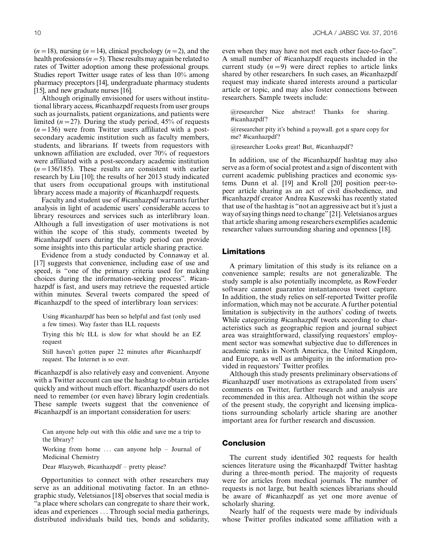$(n=18)$ , nursing  $(n=14)$ , clinical psychology  $(n=2)$ , and the health professions ( $n = 5$ ). These results may again be related to rates of Twitter adoption among these professional groups. Studies report Twitter usage rates of less than 10% among pharmacy preceptors [14], undergraduate pharmacy students [15], and new graduate nurses [16].

Although originally envisioned for users without institutional library access, #icanhazpdf requests from user groups such as journalists, patient organizations, and patients were limited ( $n = 27$ ). During the study period, 45% of requests  $(n=136)$  were from Twitter users affiliated with a postsecondary academic institution such as faculty members, students, and librarians. If tweets from requestors with unknown affiliation are excluded, over 70% of requestors were affiliated with a post-secondary academic institution  $(n=136/185)$ . These results are consistent with earlier research by Liu [10]; the results of her 2013 study indicated that users from occupational groups with institutional library access made a majority of #icanhazpdf requests.

Faculty and student use of #icanhazpdf warrants further analysis in light of academic users' considerable access to library resources and services such as interlibrary loan. Although a full investigation of user motivations is not within the scope of this study, comments tweeted by #icanhazpdf users during the study period can provide some insights into this particular article sharing practice.

Evidence from a study conducted by Connaway et al. [17] suggests that convenience, including ease of use and speed, is "one of the primary criteria used for making choices during the information-seeking process". #icanhazpdf is fast, and users may retrieve the requested article within minutes. Several tweets compared the speed of #icanhazpdf to the speed of interlibrary loan services:

Using #icanhazpdf has been so helpful and fast (only used a few times). Way faster than ILL requests

Trying this b/c ILL is slow for what should be an EZ request

Still haven't gotten paper 22 minutes after #icanhazpdf request. The Internet is so over.

#icanhazpdf is also relatively easy and convenient. Anyone with a Twitter account can use the hashtag to obtain articles quickly and without much effort. #icanhazpdf users do not need to remember (or even have) library login credentials. These sample tweets suggest that the convenience of #icanhazpdf is an important consideration for users:

Can anyone help out with this oldie and save me a trip to the library?

Working from home  $\dots$  can anyone help  $-$  Journal of Medicinal Chemistry

Dear #lazyweb, #icanhazpdf - pretty please?

Opportunities to connect with other researchers may serve as an additional motivating factor. In an ethnographic study, Veletsianos [18] observes that social media is "a place where scholars can congregate to share their work, ideas and experiences ... Through social media gatherings, distributed individuals build ties, bonds and solidarity, even when they may have not met each other face-to-face". A small number of #icanhazpdf requests included in the current study  $(n=9)$  were direct replies to article links shared by other researchers. In such cases, an #icanhazpdf request may indicate shared interests around a particular article or topic, and may also foster connections between researchers. Sample tweets include:

@researcher Nice abstract! Thanks for sharing. #icanhazpdf?

@researcher pity it's behind a paywall. got a spare copy for me? #icanhazpdf?

@researcher Looks great! But, #icanhazpdf?

In addition, use of the #icanhazpdf hashtag may also serve as a form of social protest and a sign of discontent with current academic publishing practices and economic systems. Dunn et al. [19] and Kroll [20] position peer-topeer article sharing as an act of civil disobedience, and #icanhazpdf creator Andrea Kuszewski has recently stated that use of the hashtag is "not an aggressive act but it's just a way of saying things need to change" [21]. Veletsianos argues that article sharing among researchers exemplifies academic researcher values surrounding sharing and openness [18].

## Limitations

A primary limitation of this study is its reliance on a convenience sample; results are not generalizable. The study sample is also potentially incomplete, as RowFeeder software cannot guarantee instantaneous tweet capture. In addition, the study relies on self-reported Twitter profile information, which may not be accurate. A further potential limitation is subjectivity in the authors' coding of tweets. While categorizing #icanhazpdf tweets according to characteristics such as geographic region and journal subject area was straightforward, classifying requestors' employment sector was somewhat subjective due to differences in academic ranks in North America, the United Kingdom, and Europe, as well as ambiguity in the information provided in requestors' Twitter profiles.

Although this study presents preliminary observations of #icanhazpdf user motivations as extrapolated from users' comments on Twitter, further research and analysis are recommended in this area. Although not within the scope of the present study, the copyright and licensing implications surrounding scholarly article sharing are another important area for further research and discussion.

# **Conclusion**

The current study identified 302 requests for health sciences literature using the #icanhazpdf Twitter hashtag during a three-month period. The majority of requests were for articles from medical journals. The number of requests is not large, but health sciences librarians should be aware of #icanhazpdf as yet one more avenue of scholarly sharing.

Nearly half of the requests were made by individuals whose Twitter profiles indicated some affiliation with a